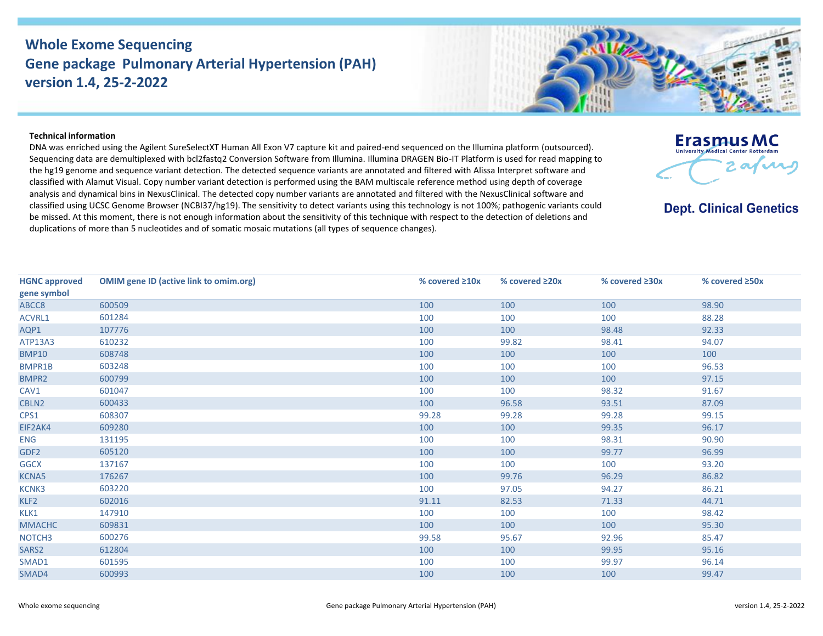## **Whole Exome Sequencing Gene package Pulmonary Arterial Hypertension (PAH) version 1.4, 25-2-2022**



DNA was enriched using the Agilent SureSelectXT Human All Exon V7 capture kit and paired-end sequenced on the Illumina platform (outsourced). Sequencing data are demultiplexed with bcl2fastq2 Conversion Software from Illumina. Illumina DRAGEN Bio-IT Platform is used for read mapping to the hg19 genome and sequence variant detection. The detected sequence variants are annotated and filtered with Alissa Interpret software and classified with Alamut Visual. Copy number variant detection is performed using the BAM multiscale reference method using depth of coverage analysis and dynamical bins in NexusClinical. The detected copy number variants are annotated and filtered with the NexusClinical software and classified using UCSC Genome Browser (NCBI37/hg19). The sensitivity to detect variants using this technology is not 100%; pathogenic variants could be missed. At this moment, there is not enough information about the sensitivity of this technique with respect to the detection of deletions and duplications of more than 5 nucleotides and of somatic mosaic mutations (all types of sequence changes).

| <b>HGNC approved</b> | <b>OMIM gene ID (active link to omim.org)</b> | % covered $\geq 10x$ | % covered ≥20x | % covered ≥30x | % covered ≥50x |
|----------------------|-----------------------------------------------|----------------------|----------------|----------------|----------------|
| gene symbol          |                                               |                      |                |                |                |
| ABCC8                | 600509                                        | 100                  | 100            | 100            | 98.90          |
| ACVRL1               | 601284                                        | 100                  | 100            | 100            | 88.28          |
| AQP1                 | 107776                                        | 100                  | 100            | 98.48          | 92.33          |
| ATP13A3              | 610232                                        | 100                  | 99.82          | 98.41          | 94.07          |
| <b>BMP10</b>         | 608748                                        | 100                  | 100            | 100            | 100            |
| <b>BMPR1B</b>        | 603248                                        | 100                  | 100            | 100            | 96.53          |
| BMPR2                | 600799                                        | 100                  | 100            | 100            | 97.15          |
| CAV1                 | 601047                                        | 100                  | 100            | 98.32          | 91.67          |
| CBLN2                | 600433                                        | 100                  | 96.58          | 93.51          | 87.09          |
| CPS1                 | 608307                                        | 99.28                | 99.28          | 99.28          | 99.15          |
| EIF2AK4              | 609280                                        | 100                  | 100            | 99.35          | 96.17          |
| ENG                  | 131195                                        | 100                  | 100            | 98.31          | 90.90          |
| GDF <sub>2</sub>     | 605120                                        | 100                  | 100            | 99.77          | 96.99          |
| <b>GGCX</b>          | 137167                                        | 100                  | 100            | 100            | 93.20          |
| KCNA5                | 176267                                        | 100                  | 99.76          | 96.29          | 86.82          |
| KCNK3                | 603220                                        | 100                  | 97.05          | 94.27          | 86.21          |
| KLF2                 | 602016                                        | 91.11                | 82.53          | 71.33          | 44.71          |
| KLK1                 | 147910                                        | 100                  | 100            | 100            | 98.42          |
| <b>MMACHC</b>        | 609831                                        | 100                  | 100            | 100            | 95.30          |
| NOTCH <sub>3</sub>   | 600276                                        | 99.58                | 95.67          | 92.96          | 85.47          |
| SARS <sub>2</sub>    | 612804                                        | 100                  | 100            | 99.95          | 95.16          |
| SMAD1                | 601595                                        | 100                  | 100            | 99.97          | 96.14          |
| SMAD4                | 600993                                        | 100                  | 100            | 100            | 99.47          |



**Erasmus MC** University Medical Center Rotterdam

**Dept. Clinical Genetics** 

2  $\alpha$